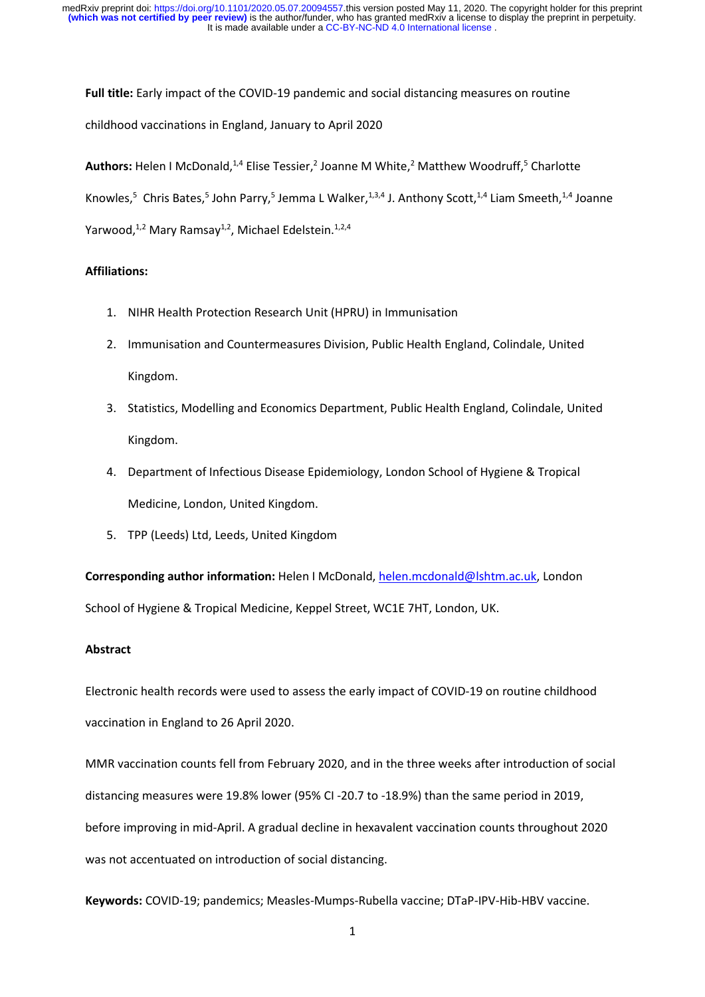**Full title:** Early impact of the COVID-19 pandemic and social distancing measures on routine childhood vaccinations in England, January to April 2020

Authors: Helen I McDonald,<sup>1,4</sup> Elise Tessier,<sup>2</sup> Joanne M White,<sup>2</sup> Matthew Woodruff,<sup>5</sup> Charlotte Knowles,<sup>5</sup> Chris Bates,<sup>5</sup> John Parry,<sup>5</sup> Jemma L Walker,<sup>1,3,4</sup> J. Anthony Scott,<sup>1,4</sup> Liam Smeeth,<sup>1,4</sup> Joanne Yarwood,<sup>1,2</sup> Mary Ramsay<sup>1,2</sup>, Michael Edelstein.<sup>1,2,4</sup>

## **Affiliations:**

- 1. NIHR Health Protection Research Unit (HPRU) in Immunisation
- 2. Immunisation and Countermeasures Division, Public Health England, Colindale, United Kingdom.
- 3. Statistics, Modelling and Economics Department, Public Health England, Colindale, United Kingdom.
- 4. Department of Infectious Disease Epidemiology, London School of Hygiene & Tropical Medicine, London, United Kingdom.
- 5. TPP (Leeds) Ltd, Leeds, United Kingdom

**Corresponding author information:** Helen I McDonald, [helen.mcdonald@lshtm.ac.uk,](mailto:helen.mcdonald@lshtm.ac.uk) London School of Hygiene & Tropical Medicine, Keppel Street, WC1E 7HT, London, UK.

## **Abstract**

Electronic health records were used to assess the early impact of COVID-19 on routine childhood vaccination in England to 26 April 2020.

MMR vaccination counts fell from February 2020, and in the three weeks after introduction of social distancing measures were 19.8% lower (95% CI -20.7 to -18.9%) than the same period in 2019, before improving in mid-April. A gradual decline in hexavalent vaccination counts throughout 2020 was not accentuated on introduction of social distancing.

**Keywords:** COVID-19; pandemics; Measles-Mumps-Rubella vaccine; DTaP-IPV-Hib-HBV vaccine.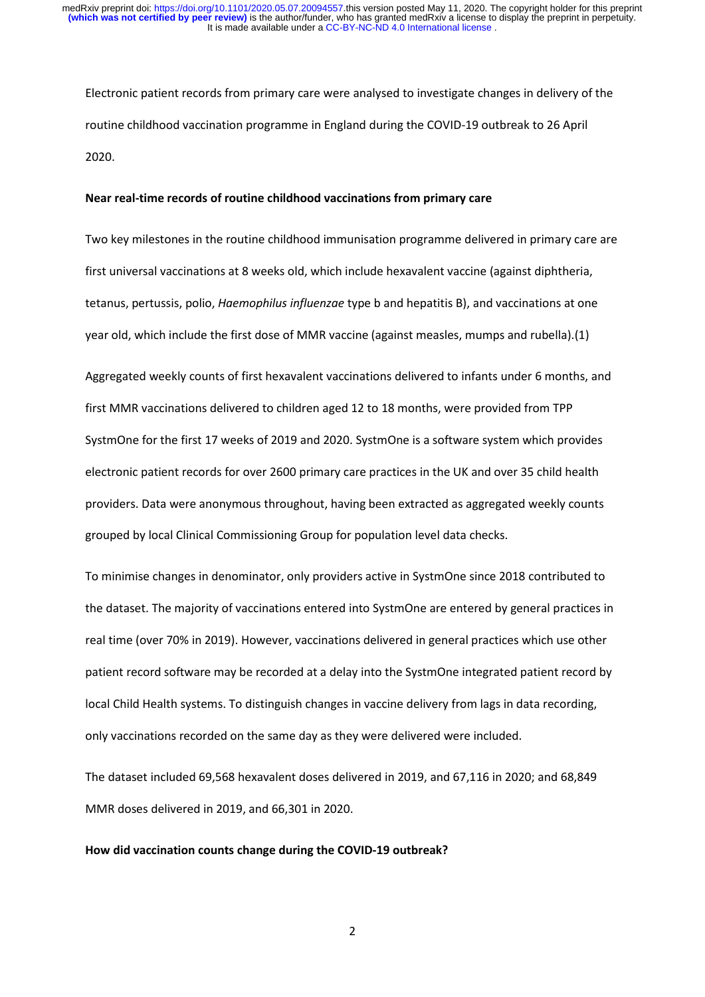Electronic patient records from primary care were analysed to investigate changes in delivery of the routine childhood vaccination programme in England during the COVID-19 outbreak to 26 April 2020.

#### **Near real-time records of routine childhood vaccinations from primary care**

Two key milestones in the routine childhood immunisation programme delivered in primary care are first universal vaccinations at 8 weeks old, which include hexavalent vaccine (against diphtheria, tetanus, pertussis, polio, *Haemophilus influenzae* type b and hepatitis B), and vaccinations at one year old, which include the first dose of MMR vaccine (against measles, mumps and rubella).(1)

Aggregated weekly counts of first hexavalent vaccinations delivered to infants under 6 months, and first MMR vaccinations delivered to children aged 12 to 18 months, were provided from TPP SystmOne for the first 17 weeks of 2019 and 2020. SystmOne is a software system which provides electronic patient records for over 2600 primary care practices in the UK and over 35 child health providers. Data were anonymous throughout, having been extracted as aggregated weekly counts grouped by local Clinical Commissioning Group for population level data checks.

To minimise changes in denominator, only providers active in SystmOne since 2018 contributed to the dataset. The majority of vaccinations entered into SystmOne are entered by general practices in real time (over 70% in 2019). However, vaccinations delivered in general practices which use other patient record software may be recorded at a delay into the SystmOne integrated patient record by local Child Health systems. To distinguish changes in vaccine delivery from lags in data recording, only vaccinations recorded on the same day as they were delivered were included.

The dataset included 69,568 hexavalent doses delivered in 2019, and 67,116 in 2020; and 68,849 MMR doses delivered in 2019, and 66,301 in 2020.

#### **How did vaccination counts change during the COVID-19 outbreak?**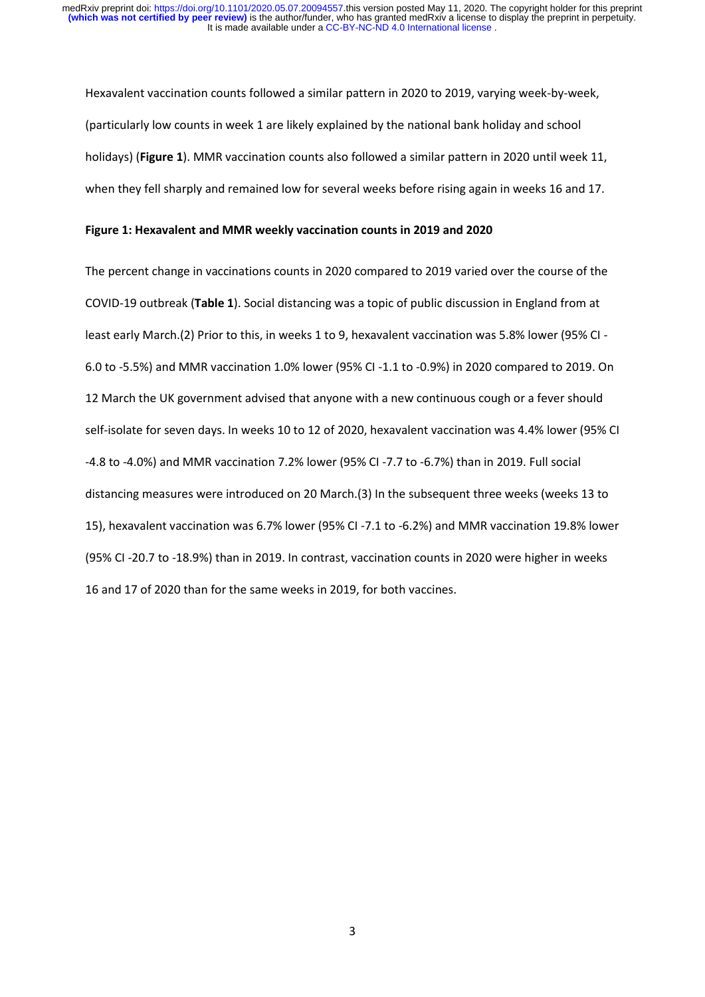Hexavalent vaccination counts followed a similar pattern in 2020 to 2019, varying week-by-week, (particularly low counts in week 1 are likely explained by the national bank holiday and school holidays) (**Figure 1**). MMR vaccination counts also followed a similar pattern in 2020 until week 11, when they fell sharply and remained low for several weeks before rising again in weeks 16 and 17.

#### **Figure 1: Hexavalent and MMR weekly vaccination counts in 2019 and 2020**

The percent change in vaccinations counts in 2020 compared to 2019 varied over the course of the COVID-19 outbreak (**Table 1**). Social distancing was a topic of public discussion in England from at least early March.(2) Prior to this, in weeks 1 to 9, hexavalent vaccination was 5.8% lower (95% CI - 6.0 to -5.5%) and MMR vaccination 1.0% lower (95% CI -1.1 to -0.9%) in 2020 compared to 2019. On 12 March the UK government advised that anyone with a new continuous cough or a fever should self-isolate for seven days. In weeks 10 to 12 of 2020, hexavalent vaccination was 4.4% lower (95% CI -4.8 to -4.0%) and MMR vaccination 7.2% lower (95% CI -7.7 to -6.7%) than in 2019. Full social distancing measures were introduced on 20 March.(3) In the subsequent three weeks (weeks 13 to 15), hexavalent vaccination was 6.7% lower (95% CI -7.1 to -6.2%) and MMR vaccination 19.8% lower (95% CI -20.7 to -18.9%) than in 2019. In contrast, vaccination counts in 2020 were higher in weeks 16 and 17 of 2020 than for the same weeks in 2019, for both vaccines.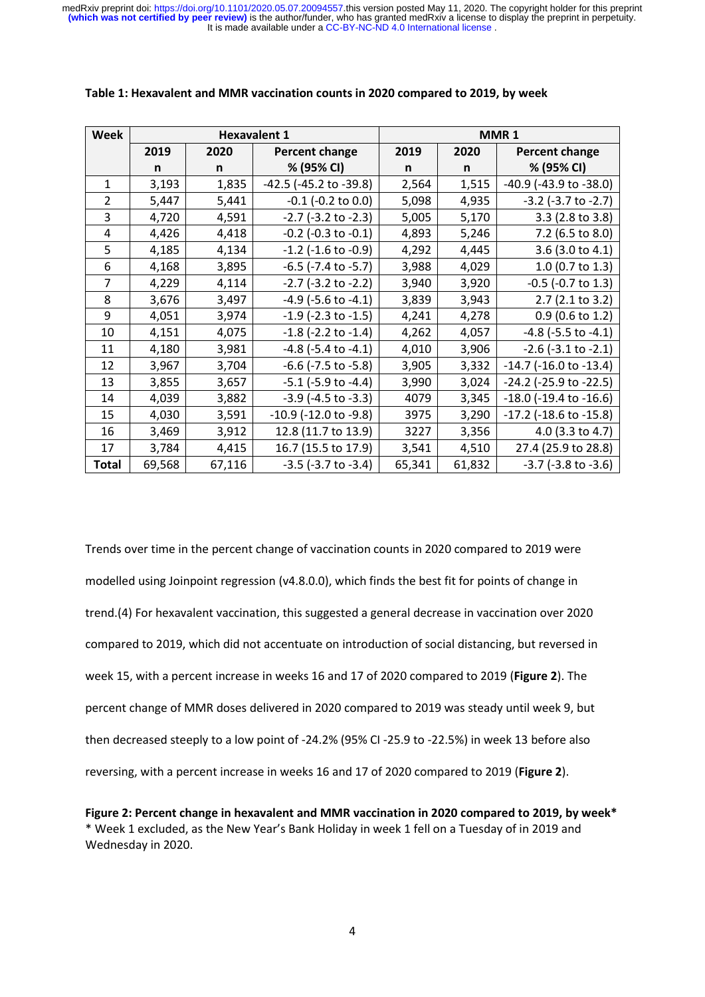| <b>Week</b>    | <b>Hexavalent 1</b> |        |                             | MMR <sub>1</sub> |        |                                |
|----------------|---------------------|--------|-----------------------------|------------------|--------|--------------------------------|
|                | 2019                | 2020   | <b>Percent change</b>       | 2019             | 2020   | Percent change                 |
|                | n                   | n      | % (95% CI)                  | n                | n      | % (95% CI)                     |
| $\mathbf{1}$   | 3,193               | 1,835  | -42.5 (-45.2 to -39.8)      | 2,564            | 1,515  | -40.9 (-43.9 to -38.0)         |
| $\overline{2}$ | 5,447               | 5,441  | $-0.1$ ( $-0.2$ to $0.0$ )  | 5,098            | 4,935  | $-3.2$ ( $-3.7$ to $-2.7$ )    |
| 3              | 4,720               | 4,591  | $-2.7$ ( $-3.2$ to $-2.3$ ) | 5,005            | 5,170  | 3.3 (2.8 to 3.8)               |
| $\overline{4}$ | 4,426               | 4,418  | $-0.2$ ( $-0.3$ to $-0.1$ ) | 4,893            | 5,246  | 7.2 (6.5 to 8.0)               |
| 5              | 4,185               | 4,134  | $-1.2$ ( $-1.6$ to $-0.9$ ) | 4,292            | 4,445  | 3.6 (3.0 to 4.1)               |
| 6              | 4,168               | 3,895  | $-6.5$ ( $-7.4$ to $-5.7$ ) | 3,988            | 4,029  | 1.0 (0.7 to 1.3)               |
| 7              | 4,229               | 4,114  | $-2.7$ ( $-3.2$ to $-2.2$ ) | 3,940            | 3,920  | $-0.5$ ( $-0.7$ to 1.3)        |
| 8              | 3,676               | 3,497  | $-4.9$ ( $-5.6$ to $-4.1$ ) | 3,839            | 3,943  | 2.7 (2.1 to 3.2)               |
| 9              | 4,051               | 3,974  | $-1.9$ ( $-2.3$ to $-1.5$ ) | 4,241            | 4,278  | $0.9$ (0.6 to 1.2)             |
| 10             | 4,151               | 4,075  | $-1.8$ ( $-2.2$ to $-1.4$ ) | 4,262            | 4,057  | $-4.8$ ( $-5.5$ to $-4.1$ )    |
| 11             | 4,180               | 3,981  | $-4.8$ ( $-5.4$ to $-4.1$ ) | 4,010            | 3,906  | $-2.6$ ( $-3.1$ to $-2.1$ )    |
| 12             | 3,967               | 3,704  | $-6.6$ ( $-7.5$ to $-5.8$ ) | 3,905            | 3,332  | $-14.7$ ( $-16.0$ to $-13.4$ ) |
| 13             | 3,855               | 3,657  | $-5.1$ ( $-5.9$ to $-4.4$ ) | 3,990            | 3,024  | -24.2 (-25.9 to -22.5)         |
| 14             | 4,039               | 3,882  | $-3.9$ ( $-4.5$ to $-3.3$ ) | 4079             | 3,345  | $-18.0$ ( $-19.4$ to $-16.6$ ) |
| 15             | 4,030               | 3,591  | -10.9 (-12.0 to -9.8)       | 3975             | 3,290  | -17.2 (-18.6 to -15.8)         |
| 16             | 3,469               | 3,912  | 12.8 (11.7 to 13.9)         | 3227             | 3,356  | 4.0 (3.3 to 4.7)               |
| 17             | 3,784               | 4,415  | 16.7 (15.5 to 17.9)         | 3,541            | 4,510  | 27.4 (25.9 to 28.8)            |
| Total          | 69,568              | 67,116 | $-3.5$ ( $-3.7$ to $-3.4$ ) | 65,341           | 61,832 | $-3.7$ ( $-3.8$ to $-3.6$ )    |

#### **Table 1: Hexavalent and MMR vaccination counts in 2020 compared to 2019, by week**

Trends over time in the percent change of vaccination counts in 2020 compared to 2019 were modelled using Joinpoint regression (v4.8.0.0), which finds the best fit for points of change in trend.(4) For hexavalent vaccination, this suggested a general decrease in vaccination over 2020 compared to 2019, which did not accentuate on introduction of social distancing, but reversed in week 15, with a percent increase in weeks 16 and 17 of 2020 compared to 2019 (**Figure 2**). The percent change of MMR doses delivered in 2020 compared to 2019 was steady until week 9, but then decreased steeply to a low point of -24.2% (95% CI -25.9 to -22.5%) in week 13 before also reversing, with a percent increase in weeks 16 and 17 of 2020 compared to 2019 (**Figure 2**).

**Figure 2: Percent change in hexavalent and MMR vaccination in 2020 compared to 2019, by week\*** \* Week 1 excluded, as the New Year's Bank Holiday in week 1 fell on a Tuesday of in 2019 and Wednesday in 2020.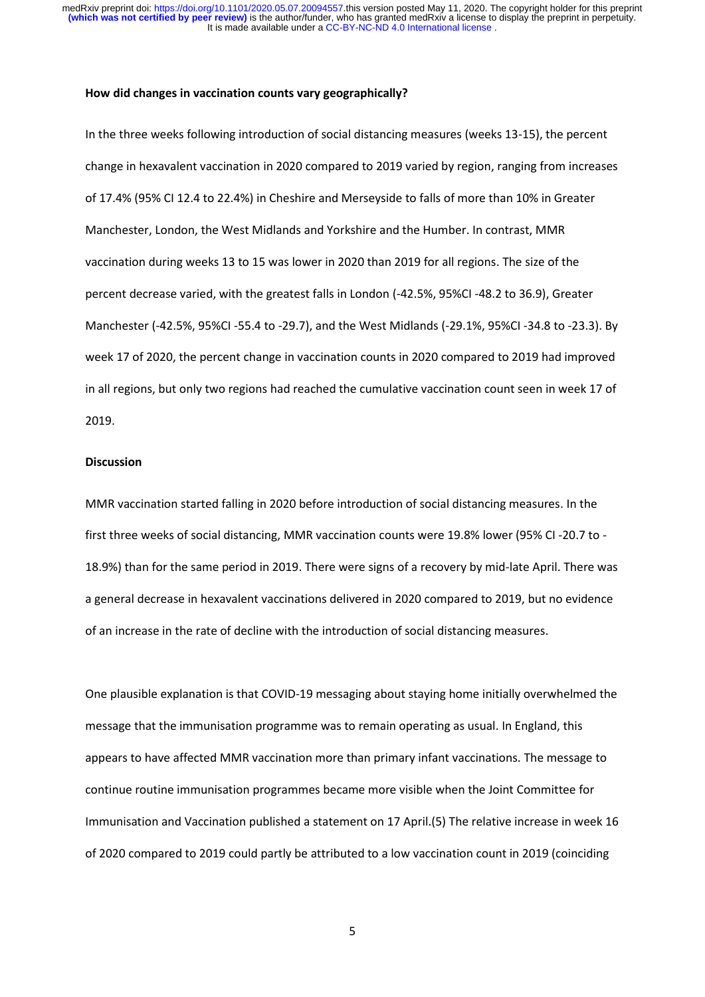#### **How did changes in vaccination counts vary geographically?**

In the three weeks following introduction of social distancing measures (weeks 13-15), the percent change in hexavalent vaccination in 2020 compared to 2019 varied by region, ranging from increases of 17.4% (95% CI 12.4 to 22.4%) in Cheshire and Merseyside to falls of more than 10% in Greater Manchester, London, the West Midlands and Yorkshire and the Humber. In contrast, MMR vaccination during weeks 13 to 15 was lower in 2020 than 2019 for all regions. The size of the percent decrease varied, with the greatest falls in London (-42.5%, 95%CI -48.2 to 36.9), Greater Manchester (-42.5%, 95%CI -55.4 to -29.7), and the West Midlands (-29.1%, 95%CI -34.8 to -23.3). By week 17 of 2020, the percent change in vaccination counts in 2020 compared to 2019 had improved in all regions, but only two regions had reached the cumulative vaccination count seen in week 17 of 2019.

#### **Discussion**

MMR vaccination started falling in 2020 before introduction of social distancing measures. In the first three weeks of social distancing, MMR vaccination counts were 19.8% lower (95% CI -20.7 to - 18.9%) than for the same period in 2019. There were signs of a recovery by mid-late April. There was a general decrease in hexavalent vaccinations delivered in 2020 compared to 2019, but no evidence of an increase in the rate of decline with the introduction of social distancing measures.

One plausible explanation is that COVID-19 messaging about staying home initially overwhelmed the message that the immunisation programme was to remain operating as usual. In England, this appears to have affected MMR vaccination more than primary infant vaccinations. The message to continue routine immunisation programmes became more visible when the Joint Committee for Immunisation and Vaccination published a statement on 17 April.(5) The relative increase in week 16 of 2020 compared to 2019 could partly be attributed to a low vaccination count in 2019 (coinciding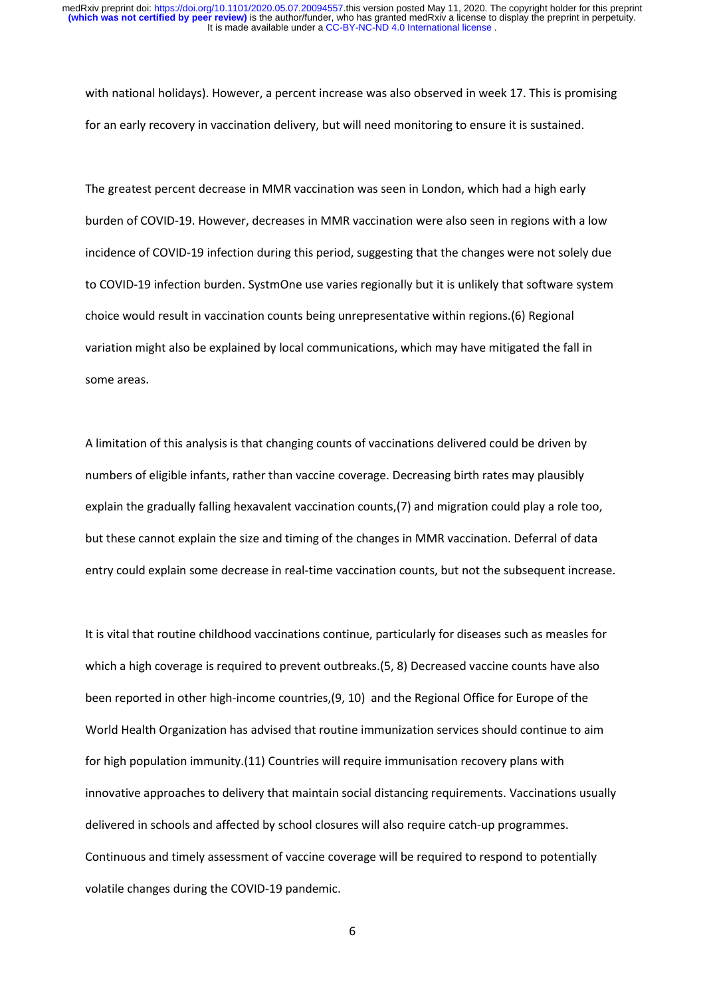with national holidays). However, a percent increase was also observed in week 17. This is promising for an early recovery in vaccination delivery, but will need monitoring to ensure it is sustained.

The greatest percent decrease in MMR vaccination was seen in London, which had a high early burden of COVID-19. However, decreases in MMR vaccination were also seen in regions with a low incidence of COVID-19 infection during this period, suggesting that the changes were not solely due to COVID-19 infection burden. SystmOne use varies regionally but it is unlikely that software system choice would result in vaccination counts being unrepresentative within regions.(6) Regional variation might also be explained by local communications, which may have mitigated the fall in some areas.

A limitation of this analysis is that changing counts of vaccinations delivered could be driven by numbers of eligible infants, rather than vaccine coverage. Decreasing birth rates may plausibly explain the gradually falling hexavalent vaccination counts,(7) and migration could play a role too, but these cannot explain the size and timing of the changes in MMR vaccination. Deferral of data entry could explain some decrease in real-time vaccination counts, but not the subsequent increase.

It is vital that routine childhood vaccinations continue, particularly for diseases such as measles for which a high coverage is required to prevent outbreaks.(5, 8) Decreased vaccine counts have also been reported in other high-income countries,(9, 10) and the Regional Office for Europe of the World Health Organization has advised that routine immunization services should continue to aim for high population immunity.(11) Countries will require immunisation recovery plans with innovative approaches to delivery that maintain social distancing requirements. Vaccinations usually delivered in schools and affected by school closures will also require catch-up programmes. Continuous and timely assessment of vaccine coverage will be required to respond to potentially volatile changes during the COVID-19 pandemic.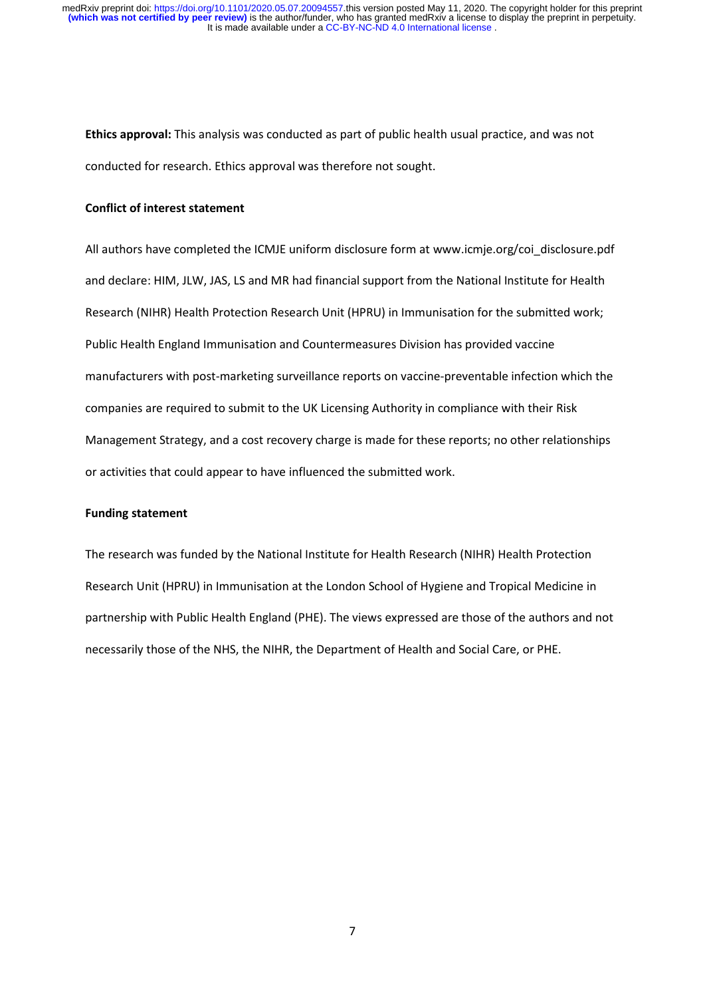**Ethics approval:** This analysis was conducted as part of public health usual practice, and was not conducted for research. Ethics approval was therefore not sought.

#### **Conflict of interest statement**

All authors have completed the ICMJE uniform disclosure form at www.icmje.org/coi\_disclosure.pdf and declare: HIM, JLW, JAS, LS and MR had financial support from the National Institute for Health Research (NIHR) Health Protection Research Unit (HPRU) in Immunisation for the submitted work; Public Health England Immunisation and Countermeasures Division has provided vaccine manufacturers with post-marketing surveillance reports on vaccine-preventable infection which the companies are required to submit to the UK Licensing Authority in compliance with their Risk Management Strategy, and a cost recovery charge is made for these reports; no other relationships or activities that could appear to have influenced the submitted work.

#### **Funding statement**

The research was funded by the National Institute for Health Research (NIHR) Health Protection Research Unit (HPRU) in Immunisation at the London School of Hygiene and Tropical Medicine in partnership with Public Health England (PHE). The views expressed are those of the authors and not necessarily those of the NHS, the NIHR, the Department of Health and Social Care, or PHE.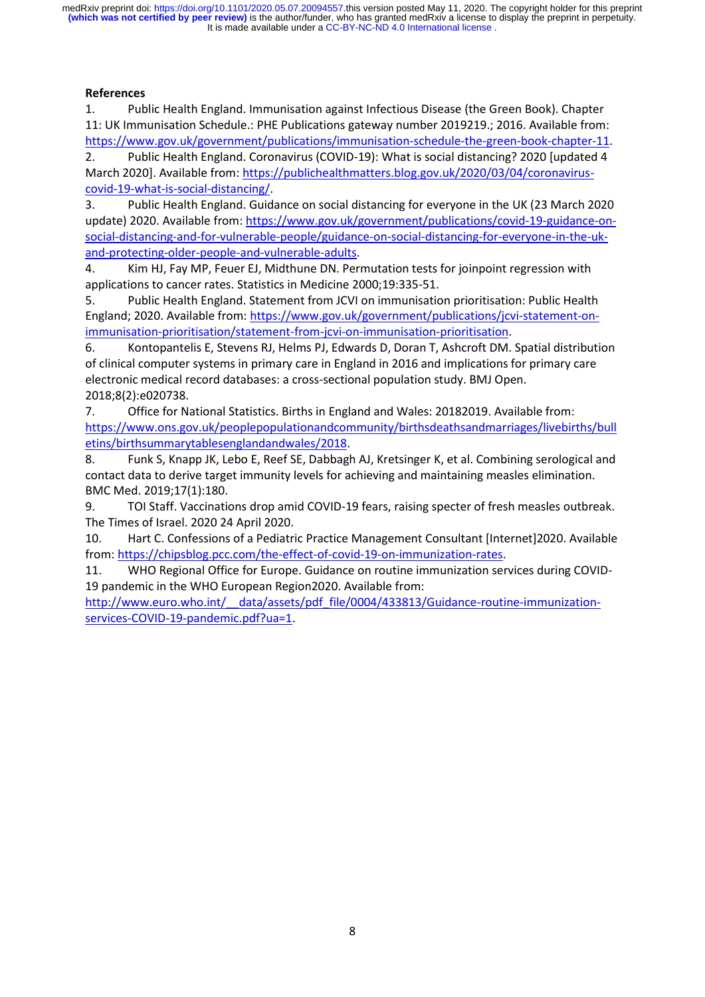It is made available under a [CC-BY-NC-ND 4.0 International license](http://creativecommons.org/licenses/by-nc-nd/4.0/) . **(which was not certified by peer review)** is the author/funder, who has granted medRxiv a license to display the preprint in perpetuity. medRxiv preprint doi: [https://doi.org/10.1101/2020.05.07.20094557.](https://doi.org/10.1101/2020.05.07.20094557)this version posted May 11, 2020. The copyright holder for this preprint

## **References**

1. Public Health England. Immunisation against Infectious Disease (the Green Book). Chapter 11: UK Immunisation Schedule.: PHE Publications gateway number 2019219.; 2016. Available from: [https://www.gov.uk/government/publications/immunisation-schedule-the-green-book-chapter-11.](https://www.gov.uk/government/publications/immunisation-schedule-the-green-book-chapter-11)

2. Public Health England. Coronavirus (COVID-19): What is social distancing? 2020 [updated 4 March 2020]. Available from: [https://publichealthmatters.blog.gov.uk/2020/03/04/coronavirus](https://publichealthmatters.blog.gov.uk/2020/03/04/coronavirus-covid-19-what-is-social-distancing/)[covid-19-what-is-social-distancing/.](https://publichealthmatters.blog.gov.uk/2020/03/04/coronavirus-covid-19-what-is-social-distancing/)

3. Public Health England. Guidance on social distancing for everyone in the UK (23 March 2020 update) 2020. Available from[: https://www.gov.uk/government/publications/covid-19-guidance-on](https://www.gov.uk/government/publications/covid-19-guidance-on-social-distancing-and-for-vulnerable-people/guidance-on-social-distancing-for-everyone-in-the-uk-and-protecting-older-people-and-vulnerable-adults)[social-distancing-and-for-vulnerable-people/guidance-on-social-distancing-for-everyone-in-the-uk](https://www.gov.uk/government/publications/covid-19-guidance-on-social-distancing-and-for-vulnerable-people/guidance-on-social-distancing-for-everyone-in-the-uk-and-protecting-older-people-and-vulnerable-adults)[and-protecting-older-people-and-vulnerable-adults.](https://www.gov.uk/government/publications/covid-19-guidance-on-social-distancing-and-for-vulnerable-people/guidance-on-social-distancing-for-everyone-in-the-uk-and-protecting-older-people-and-vulnerable-adults)

4. Kim HJ, Fay MP, Feuer EJ, Midthune DN. Permutation tests for joinpoint regression with applications to cancer rates. Statistics in Medicine 2000;19:335-51.

5. Public Health England. Statement from JCVI on immunisation prioritisation: Public Health England; 2020. Available from: [https://www.gov.uk/government/publications/jcvi-statement-on](https://www.gov.uk/government/publications/jcvi-statement-on-immunisation-prioritisation/statement-from-jcvi-on-immunisation-prioritisation)[immunisation-prioritisation/statement-from-jcvi-on-immunisation-prioritisation.](https://www.gov.uk/government/publications/jcvi-statement-on-immunisation-prioritisation/statement-from-jcvi-on-immunisation-prioritisation)

6. Kontopantelis E, Stevens RJ, Helms PJ, Edwards D, Doran T, Ashcroft DM. Spatial distribution of clinical computer systems in primary care in England in 2016 and implications for primary care electronic medical record databases: a cross-sectional population study. BMJ Open. 2018;8(2):e020738.

7. Office for National Statistics. Births in England and Wales: 20182019. Available from: [https://www.ons.gov.uk/peoplepopulationandcommunity/birthsdeathsandmarriages/livebirths/bull](https://www.ons.gov.uk/peoplepopulationandcommunity/birthsdeathsandmarriages/livebirths/bulletins/birthsummarytablesenglandandwales/2018) [etins/birthsummarytablesenglandandwales/2018.](https://www.ons.gov.uk/peoplepopulationandcommunity/birthsdeathsandmarriages/livebirths/bulletins/birthsummarytablesenglandandwales/2018)

8. Funk S, Knapp JK, Lebo E, Reef SE, Dabbagh AJ, Kretsinger K, et al. Combining serological and contact data to derive target immunity levels for achieving and maintaining measles elimination. BMC Med. 2019;17(1):180.

9. TOI Staff. Vaccinations drop amid COVID-19 fears, raising specter of fresh measles outbreak. The Times of Israel. 2020 24 April 2020.

10. Hart C. Confessions of a Pediatric Practice Management Consultant [Internet]2020. Available from: [https://chipsblog.pcc.com/the-effect-of-covid-19-on-immunization-rates.](https://chipsblog.pcc.com/the-effect-of-covid-19-on-immunization-rates)

11. WHO Regional Office for Europe. Guidance on routine immunization services during COVID-19 pandemic in the WHO European Region2020. Available from:

http://www.euro.who.int/ data/assets/pdf file/0004/433813/Guidance-routine-immunization[services-COVID-19-pandemic.pdf?ua=1.](http://www.euro.who.int/__data/assets/pdf_file/0004/433813/Guidance-routine-immunization-services-COVID-19-pandemic.pdf?ua=1)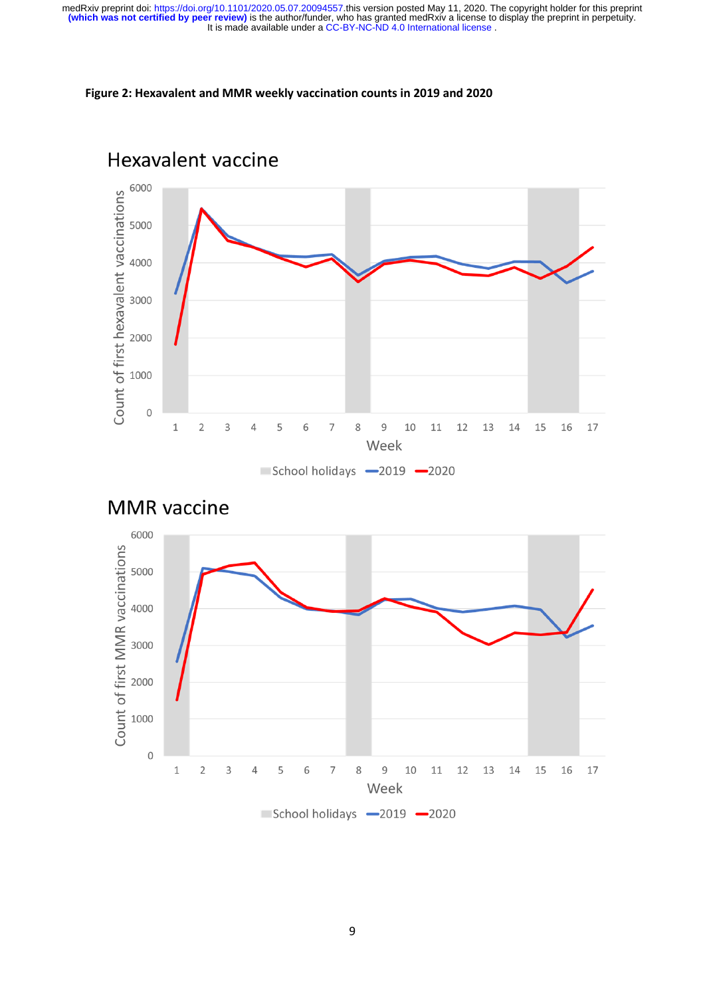### **Figure 2: Hexavalent and MMR weekly vaccination counts in 2019 and 2020**





Hexavalent vaccine